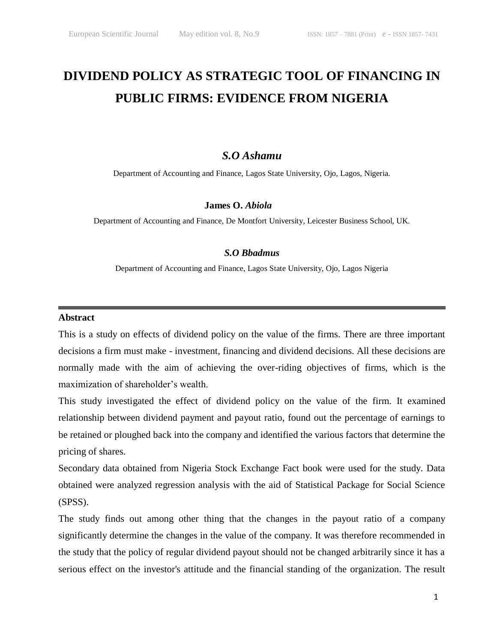# **DIVIDEND POLICY AS STRATEGIC TOOL OF FINANCING IN PUBLIC FIRMS: EVIDENCE FROM NIGERIA**

# *S.O Ashamu*

Department of Accounting and Finance, Lagos State University, Ojo, Lagos, Nigeria.

# **James O.** *Abiola*

Department of Accounting and Finance, De Montfort University, Leicester Business School, UK.

# *S.O Bbadmus*

Department of Accounting and Finance, Lagos State University, Ojo, Lagos Nigeria

#### **Abstract**

This is a study on effects of dividend policy on the value of the firms. There are three important decisions a firm must make - investment, financing and dividend decisions. All these decisions are normally made with the aim of achieving the over-riding objectives of firms, which is the maximization of shareholder's wealth.

This study investigated the effect of dividend policy on the value of the firm. It examined relationship between dividend payment and payout ratio, found out the percentage of earnings to be retained or ploughed back into the company and identified the various factors that determine the pricing of shares.

Secondary data obtained from Nigeria Stock Exchange Fact book were used for the study. Data obtained were analyzed regression analysis with the aid of Statistical Package for Social Science (SPSS).

The study finds out among other thing that the changes in the payout ratio of a company significantly determine the changes in the value of the company. It was therefore recommended in the study that the policy of regular dividend payout should not be changed arbitrarily since it has a serious effect on the investor's attitude and the financial standing of the organization. The result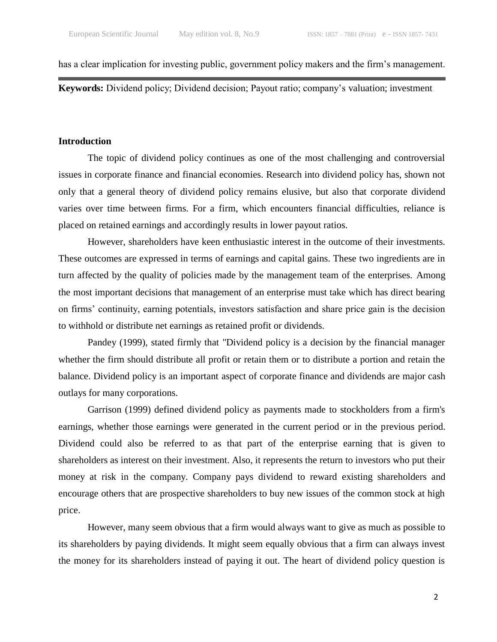has a clear implication for investing public, government policy makers and the firm's management.

**Keywords:** Dividend policy; Dividend decision; Payout ratio; company's valuation; investment

#### **Introduction**

The topic of dividend policy continues as one of the most challenging and controversial issues in corporate finance and financial economies. Research into dividend policy has, shown not only that a general theory of dividend policy remains elusive, but also that corporate dividend varies over time between firms. For a firm, which encounters financial difficulties, reliance is placed on retained earnings and accordingly results in lower payout ratios.

However, shareholders have keen enthusiastic interest in the outcome of their investments. These outcomes are expressed in terms of earnings and capital gains. These two ingredients are in turn affected by the quality of policies made by the management team of the enterprises. Among the most important decisions that management of an enterprise must take which has direct bearing on firms' continuity, earning potentials, investors satisfaction and share price gain is the decision to withhold or distribute net earnings as retained profit or dividends.

Pandey (1999), stated firmly that "Dividend policy is a decision by the financial manager whether the firm should distribute all profit or retain them or to distribute a portion and retain the balance. Dividend policy is an important aspect of corporate finance and dividends are major cash outlays for many corporations.

Garrison (1999) defined dividend policy as payments made to stockholders from a firm's earnings, whether those earnings were generated in the current period or in the previous period. Dividend could also be referred to as that part of the enterprise earning that is given to shareholders as interest on their investment. Also, it represents the return to investors who put their money at risk in the company. Company pays dividend to reward existing shareholders and encourage others that are prospective shareholders to buy new issues of the common stock at high price.

However, many seem obvious that a firm would always want to give as much as possible to its shareholders by paying dividends. It might seem equally obvious that a firm can always invest the money for its shareholders instead of paying it out. The heart of dividend policy question is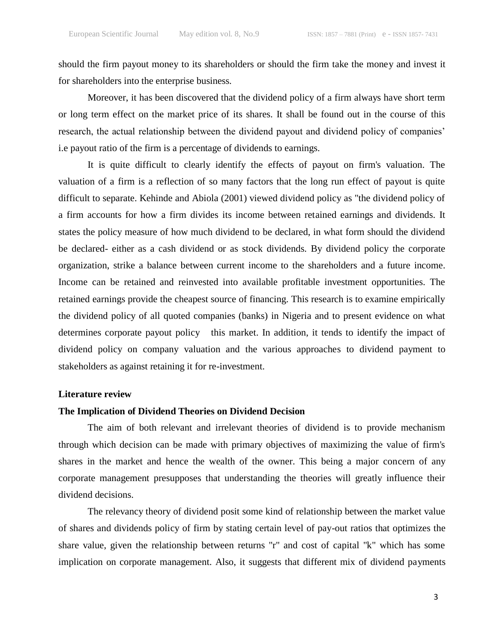should the firm payout money to its shareholders or should the firm take the money and invest it for shareholders into the enterprise business.

Moreover, it has been discovered that the dividend policy of a firm always have short term or long term effect on the market price of its shares. It shall be found out in the course of this research, the actual relationship between the dividend payout and dividend policy of companies' i.e payout ratio of the firm is a percentage of dividends to earnings.

It is quite difficult to clearly identify the effects of payout on firm's valuation. The valuation of a firm is a reflection of so many factors that the long run effect of payout is quite difficult to separate. Kehinde and Abiola (2001) viewed dividend policy as "the dividend policy of a firm accounts for how a firm divides its income between retained earnings and dividends. It states the policy measure of how much dividend to be declared, in what form should the dividend be declared- either as a cash dividend or as stock dividends. By dividend policy the corporate organization, strike a balance between current income to the shareholders and a future income. Income can be retained and reinvested into available profitable investment opportunities. The retained earnings provide the cheapest source of financing. This research is to examine empirically the dividend policy of all quoted companies (banks) in Nigeria and to present evidence on what determines corporate payout policy this market. In addition, it tends to identify the impact of dividend policy on company valuation and the various approaches to dividend payment to stakeholders as against retaining it for re-investment.

#### **Literature review**

#### **The Implication of Dividend Theories on Dividend Decision**

The aim of both relevant and irrelevant theories of dividend is to provide mechanism through which decision can be made with primary objectives of maximizing the value of firm's shares in the market and hence the wealth of the owner. This being a major concern of any corporate management presupposes that understanding the theories will greatly influence their dividend decisions.

 The relevancy theory of dividend posit some kind of relationship between the market value of shares and dividends policy of firm by stating certain level of pay-out ratios that optimizes the share value, given the relationship between returns "r" and cost of capital "k" which has some implication on corporate management. Also, it suggests that different mix of dividend payments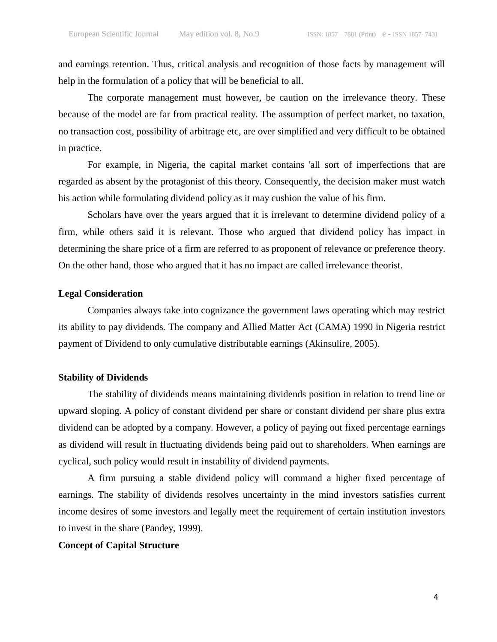and earnings retention. Thus, critical analysis and recognition of those facts by management will help in the formulation of a policy that will be beneficial to all.

The corporate management must however, be caution on the irrelevance theory. These because of the model are far from practical reality. The assumption of perfect market, no taxation, no transaction cost, possibility of arbitrage etc, are over simplified and very difficult to be obtained in practice.

For example, in Nigeria, the capital market contains 'all sort of imperfections that are regarded as absent by the protagonist of this theory. Consequently, the decision maker must watch his action while formulating dividend policy as it may cushion the value of his firm.

Scholars have over the years argued that it is irrelevant to determine dividend policy of a firm, while others said it is relevant. Those who argued that dividend policy has impact in determining the share price of a firm are referred to as proponent of relevance or preference theory. On the other hand, those who argued that it has no impact are called irrelevance theorist.

#### **Legal Consideration**

Companies always take into cognizance the government laws operating which may restrict its ability to pay dividends. The company and Allied Matter Act (CAMA) 1990 in Nigeria restrict payment of Dividend to only cumulative distributable earnings (Akinsulire, 2005).

#### **Stability of Dividends**

The stability of dividends means maintaining dividends position in relation to trend line or upward sloping. A policy of constant dividend per share or constant dividend per share plus extra dividend can be adopted by a company. However, a policy of paying out fixed percentage earnings as dividend will result in fluctuating dividends being paid out to shareholders. When earnings are cyclical, such policy would result in instability of dividend payments.

A firm pursuing a stable dividend policy will command a higher fixed percentage of earnings. The stability of dividends resolves uncertainty in the mind investors satisfies current income desires of some investors and legally meet the requirement of certain institution investors to invest in the share (Pandey, 1999).

#### **Concept of Capital Structure**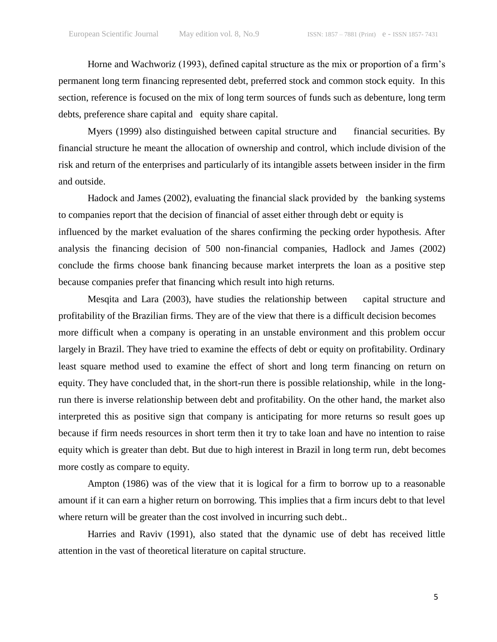Horne and Wachworiz (1993), defined capital structure as the mix or proportion of a firm's permanent long term financing represented debt, preferred stock and common stock equity. In this section, reference is focused on the mix of long term sources of funds such as debenture, long term debts, preference share capital and equity share capital.

Myers (1999) also distinguished between capital structure and financial securities. By financial structure he meant the allocation of ownership and control, which include division of the risk and return of the enterprises and particularly of its intangible assets between insider in the firm and outside.

Hadock and James (2002), evaluating the financial slack provided by the banking systems to companies report that the decision of financial of asset either through debt or equity is influenced by the market evaluation of the shares confirming the pecking order hypothesis. After analysis the financing decision of 500 non-financial companies, Hadlock and James (2002) conclude the firms choose bank financing because market interprets the loan as a positive step because companies prefer that financing which result into high returns.

Mesqita and Lara (2003), have studies the relationship between capital structure and profitability of the Brazilian firms. They are of the view that there is a difficult decision becomes more difficult when a company is operating in an unstable environment and this problem occur largely in Brazil. They have tried to examine the effects of debt or equity on profitability. Ordinary least square method used to examine the effect of short and long term financing on return on equity. They have concluded that, in the short-run there is possible relationship, while in the longrun there is inverse relationship between debt and profitability. On the other hand, the market also interpreted this as positive sign that company is anticipating for more returns so result goes up because if firm needs resources in short term then it try to take loan and have no intention to raise equity which is greater than debt. But due to high interest in Brazil in long term run, debt becomes more costly as compare to equity.

Ampton (1986) was of the view that it is logical for a firm to borrow up to a reasonable amount if it can earn a higher return on borrowing. This implies that a firm incurs debt to that level where return will be greater than the cost involved in incurring such debt..

Harries and Raviv (1991), also stated that the dynamic use of debt has received little attention in the vast of theoretical literature on capital structure.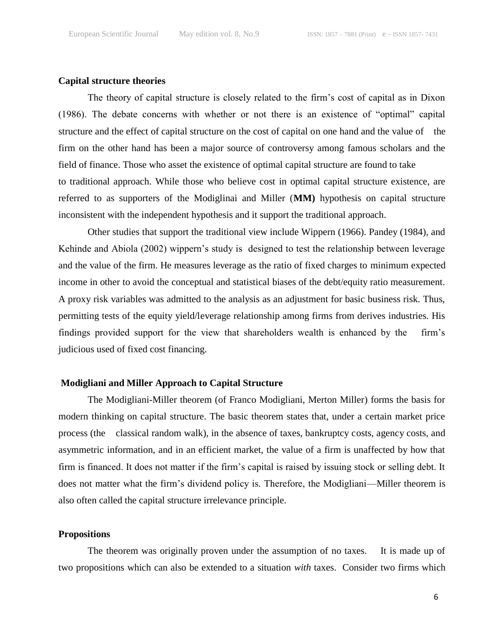#### **Capital structure theories**

The theory of capital structure is closely related to the firm's cost of capital as in Dixon  $(1986)$ . The debate concerns with whether or not there is an existence of "optimal" capital structure and the effect of capital structure on the cost of capital on one hand and the value of the firm on the other hand has been a major source of controversy among famous scholars and the field of finance. Those who asset the existence of optimal capital structure are found to take to traditional approach. While those who believe cost in optimal capital structure existence, are referred to as supporters of the Modiglinai and Miller (**MM)** hypothesis on capital structure inconsistent with the independent hypothesis and it support the traditional approach.

Other studies that support the traditional view include Wippern (1966). Pandey (1984), and Kehinde and Abiola (2002) wippern's study is designed to test the relationship between leverage and the value of the firm. He measures leverage as the ratio of fixed charges to minimum expected income in other to avoid the conceptual and statistical biases of the debt/equity ratio measurement. A proxy risk variables was admitted to the analysis as an adjustment for basic business risk. Thus, permitting tests of the equity yield/leverage relationship among firms from derives industries. His findings provided support for the view that shareholders wealth is enhanced by the firm's judicious used of fixed cost financing.

# **Modigliani and Miller Approach to Capital Structure**

The Modigliani-Miller theorem (of Franco Modigliani, Merton Miller) forms the basis for modern thinking on capital structure. The basic theorem states that, under a certain market price process (the classical random walk), in the absence of taxes, bankruptcy costs, agency costs, and asymmetric information, and in an efficient market, the value of a firm is unaffected by how that firm is financed. It does not matter if the firm's capital is raised by issuing stock or selling debt. It does not matter what the firm's dividend policy is. Therefore, the Modigliani—Miller theorem is also often called the capital structure irrelevance principle.

#### **Propositions**

The theorem was originally proven under the assumption of no taxes. It is made up of two propositions which can also be extended to a situation *with* taxes. Consider two firms which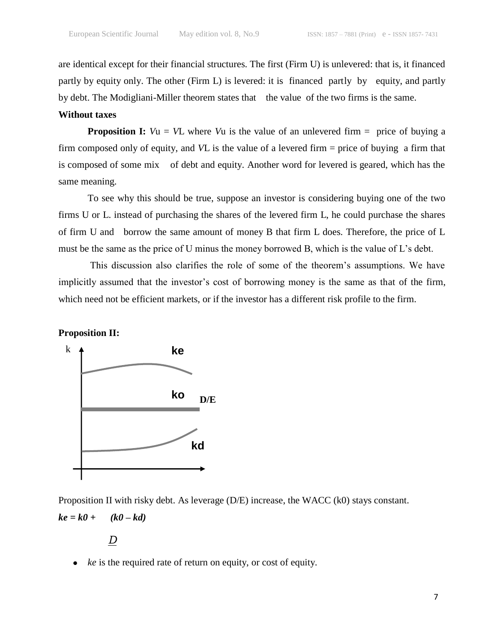are identical except for their financial structures. The first (Firm U) is unlevered: that is, it financed partly by equity only. The other (Firm L) is levered: it is financed partly by equity, and partly by debt. The Modigliani-Miller theorem states that the value of the two firms is the same.

# **Without taxes**

**Proposition I:**  $Vu = VL$  where  $Vu$  is the value of an unlevered firm  $=$  price of buying a firm composed only of equity, and *V*L is the value of a levered firm = price of buying a firm that is composed of some mix of debt and equity. Another word for levered is geared, which has the same meaning.

To see why this should be true, suppose an investor is considering buying one of the two firms U or L. instead of purchasing the shares of the levered firm L, he could purchase the shares of firm U and borrow the same amount of money B that firm L does. Therefore, the price of L must be the same as the price of U minus the money borrowed B, which is the value of L's debt.

This discussion also clarifies the role of some of the theorem's assumptions. We have implicitly assumed that the investor's cost of borrowing money is the same as that of the firm, which need not be efficient markets, or if the investor has a different risk profile to the firm.

**Proposition II:** 



Proposition II with risky debt. As leverage (D/E) increase, the WACC (k0) stays constant.  $ke = k0 + (k0 - kd)$ 

*D* 

*ke* is the required rate of return on equity, or cost of equity. E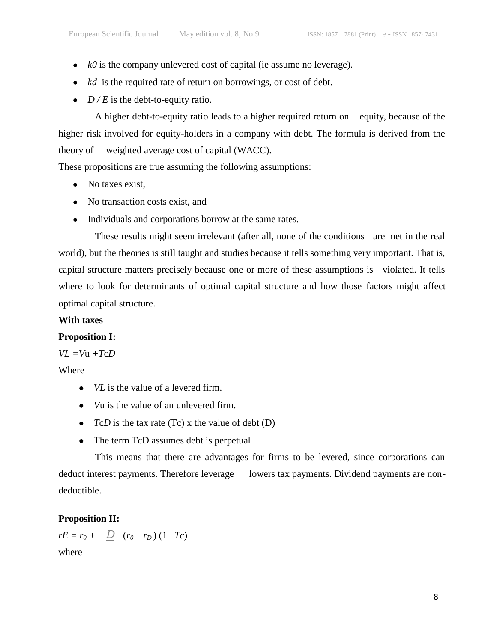- *k0* is the company unlevered cost of capital (ie assume no leverage).
- *kd* is the required rate of return on borrowings, or cost of debt.
- $D/E$  is the debt-to-equity ratio.

A higher debt-to-equity ratio leads to a higher required return on equity, because of the higher risk involved for equity-holders in a company with debt. The formula is derived from the theory of weighted average cost of capital (WACC).

These propositions are true assuming the following assumptions:

- No taxes exist,
- No transaction costs exist, and
- Individuals and corporations borrow at the same rates.

These results might seem irrelevant (after all, none of the conditions are met in the real world), but the theories is still taught and studies because it tells something very important. That is, capital structure matters precisely because one or more of these assumptions is violated. It tells where to look for determinants of optimal capital structure and how those factors might affect optimal capital structure.

# **With taxes**

# **Proposition I:**

 $VL = Vu + TcD$ 

Where

- *VL* is the value of a levered firm.
- *V*u is the value of an unlevered firm.
- $TcD$  is the tax rate (Tc) x the value of debt (D)
- The term TcD assumes debt is perpetual

This means that there are advantages for firms to be levered, since corporations can deduct interest payments. Therefore leverage lowers tax payments. Dividend payments are nondeductible.

# **Proposition II:**

 $rE = r_0 + \frac{D}{r_0} (r_0 - r_D) (1 - T_c)$ 

where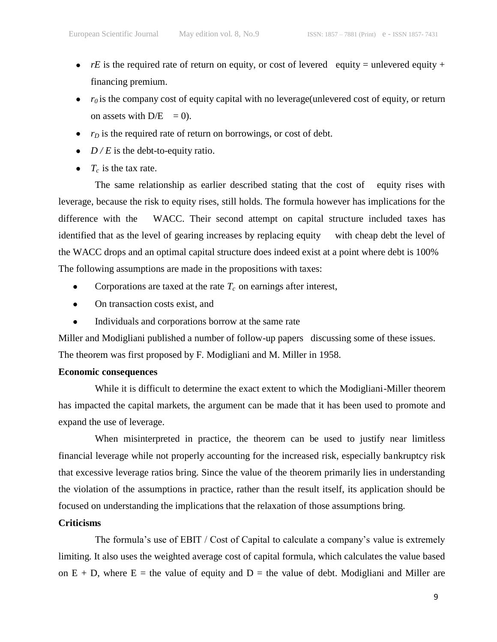- $rE$  is the required rate of return on equity, or cost of levered equity = unlevered equity + financing premium.
- $\bullet$   $r_0$  is the company cost of equity capital with no leverage(unlevered cost of equity, or return on assets with  $D/E = 0$ ).
- $\bullet$   $r_D$  is the required rate of return on borrowings, or cost of debt.
- $D/E$  is the debt-to-equity ratio.
- $T_c$  is the tax rate.

The same relationship as earlier described stating that the cost of equity rises with leverage, because the risk to equity rises, still holds. The formula however has implications for the difference with the WACC. Their second attempt on capital structure included taxes has identified that as the level of gearing increases by replacing equity with cheap debt the level of the WACC drops and an optimal capital structure does indeed exist at a point where debt is 100% The following assumptions are made in the propositions with taxes:

- Corporations are taxed at the rate  $T_c$  on earnings after interest,  $\bullet$
- On transaction costs exist, and  $\bullet$
- $\bullet$ Individuals and corporations borrow at the same rate

Miller and Modigliani published a number of follow-up papers discussing some of these issues. The theorem was first proposed by F. Modigliani and M. Miller in 1958.

# **Economic consequences**

While it is difficult to determine the exact extent to which the Modigliani-Miller theorem has impacted the capital markets, the argument can be made that it has been used to promote and expand the use of leverage.

When misinterpreted in practice, the theorem can be used to justify near limitless financial leverage while not properly accounting for the increased risk, especially bankruptcy risk that excessive leverage ratios bring. Since the value of the theorem primarily lies in understanding the violation of the assumptions in practice, rather than the result itself, its application should be focused on understanding the implications that the relaxation of those assumptions bring.

# **Criticisms**

The formula's use of EBIT / Cost of Capital to calculate a company's value is extremely limiting. It also uses the weighted average cost of capital formula, which calculates the value based on  $E + D$ , where  $E =$  the value of equity and  $D =$  the value of debt. Modigliani and Miller are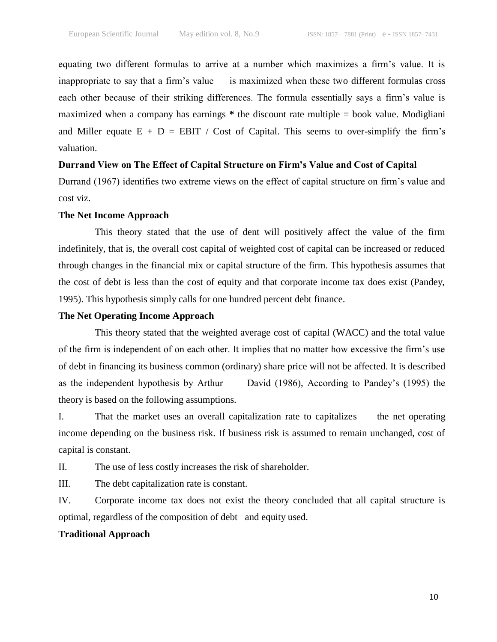equating two different formulas to arrive at a number which maximizes a firm's value. It is inappropriate to say that a firm's value is maximized when these two different formulas cross each other because of their striking differences. The formula essentially says a firm's value is maximized when a company has earnings **\*** the discount rate multiple = book value. Modigliani and Miller equate  $E + D = EBIT / Cost$  of Capital. This seems to over-simplify the firm's valuation.

#### **Durrand View on The Effect of Capital Structure on Firm's Value and Cost of Capital**

Durrand (1967) identifies two extreme views on the effect of capital structure on firm's value and cost viz.

#### **The Net Income Approach**

This theory stated that the use of dent will positively affect the value of the firm indefinitely, that is, the overall cost capital of weighted cost of capital can be increased or reduced through changes in the financial mix or capital structure of the firm. This hypothesis assumes that the cost of debt is less than the cost of equity and that corporate income tax does exist (Pandey, 1995). This hypothesis simply calls for one hundred percent debt finance.

#### **The Net Operating Income Approach**

This theory stated that the weighted average cost of capital (WACC) and the total value of the firm is independent of on each other. It implies that no matter how excessive the firm's use of debt in financing its business common (ordinary) share price will not be affected. It is described as the independent hypothesis by Arthur David (1986), According to Pandey's (1995) the theory is based on the following assumptions.

I. That the market uses an overall capitalization rate to capitalizes the net operating income depending on the business risk. If business risk is assumed to remain unchanged, cost of capital is constant.

II. The use of less costly increases the risk of shareholder.

III. The debt capitalization rate is constant.

IV. Corporate income tax does not exist the theory concluded that all capital structure is optimal, regardless of the composition of debt and equity used.

#### **Traditional Approach**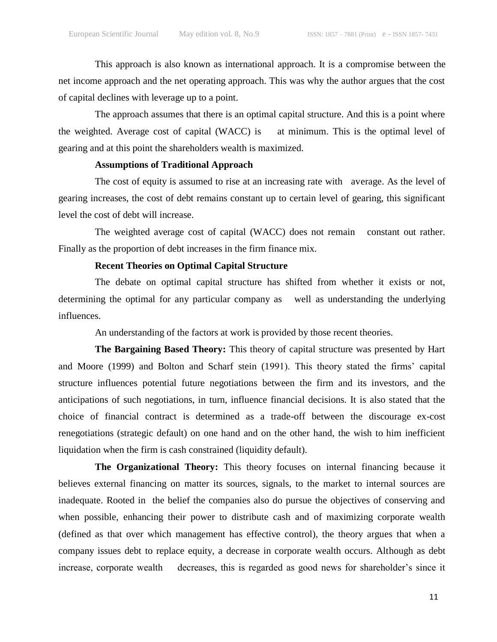This approach is also known as international approach. It is a compromise between the net income approach and the net operating approach. This was why the author argues that the cost of capital declines with leverage up to a point.

The approach assumes that there is an optimal capital structure. And this is a point where the weighted. Average cost of capital (WACC) is at minimum. This is the optimal level of gearing and at this point the shareholders wealth is maximized.

# **Assumptions of Traditional Approach**

The cost of equity is assumed to rise at an increasing rate with average. As the level of gearing increases, the cost of debt remains constant up to certain level of gearing, this significant level the cost of debt will increase.

The weighted average cost of capital (WACC) does not remain constant out rather. Finally as the proportion of debt increases in the firm finance mix.

#### **Recent Theories on Optimal Capital Structure**

The debate on optimal capital structure has shifted from whether it exists or not, determining the optimal for any particular company as well as understanding the underlying influences.

An understanding of the factors at work is provided by those recent theories.

**The Bargaining Based Theory:** This theory of capital structure was presented by Hart and Moore (1999) and Bolton and Scharf stein (1991). This theory stated the firms' capital structure influences potential future negotiations between the firm and its investors, and the anticipations of such negotiations, in turn, influence financial decisions. It is also stated that the choice of financial contract is determined as a trade-off between the discourage ex-cost renegotiations (strategic default) on one hand and on the other hand, the wish to him inefficient liquidation when the firm is cash constrained (liquidity default).

**The Organizational Theory:** This theory focuses on internal financing because it believes external financing on matter its sources, signals, to the market to internal sources are inadequate. Rooted in the belief the companies also do pursue the objectives of conserving and when possible, enhancing their power to distribute cash and of maximizing corporate wealth (defined as that over which management has effective control), the theory argues that when a company issues debt to replace equity, a decrease in corporate wealth occurs. Although as debt increase, corporate wealth decreases, this is regarded as good news for shareholder's since it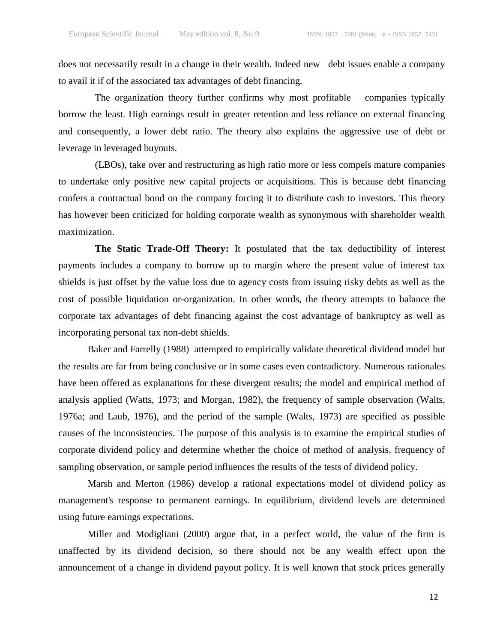does not necessarily result in a change in their wealth. Indeed new debt issues enable a company to avail it if of the associated tax advantages of debt financing.

The organization theory further confirms why most profitable companies typically borrow the least. High earnings result in greater retention and less reliance on external financing and consequently, a lower debt ratio. The theory also explains the aggressive use of debt or leverage in leveraged buyouts.

(LBOs), take over and restructuring as high ratio more or less compels mature companies to undertake only positive new capital projects or acquisitions. This is because debt financing confers a contractual bond on the company forcing it to distribute cash to investors. This theory has however been criticized for holding corporate wealth as synonymous with shareholder wealth maximization.

**The Static Trade-Off Theory:** It postulated that the tax deductibility of interest payments includes a company to borrow up to margin where the present value of interest tax shields is just offset by the value loss due to agency costs from issuing risky debts as well as the cost of possible liquidation or-organization. In other words, the theory attempts to balance the corporate tax advantages of debt financing against the cost advantage of bankruptcy as well as incorporating personal tax non-debt shields.

Baker and Farrelly (1988) attempted to empirically validate theoretical dividend model but the results are far from being conclusive or in some cases even contradictory. Numerous rationales have been offered as explanations for these divergent results; the model and empirical method of analysis applied (Watts, 1973; and Morgan, 1982), the frequency of sample observation (Walts, 1976a; and Laub, 1976), and the period of the sample (Walts, 1973) are specified as possible causes of the inconsistencies. The purpose of this analysis is to examine the empirical studies of corporate dividend policy and determine whether the choice of method of analysis, frequency of sampling observation, or sample period influences the results of the tests of dividend policy*.*

Marsh and Merton (1986) develop a rational expectations model of dividend policy as management's response to permanent earnings. In equilibrium, dividend levels are determined using future earnings expectations.

Miller and Modigliani (2000) argue that, in a perfect world, the value of the firm is unaffected by its dividend decision, so there should not be any wealth effect upon the announcement of a change in dividend payout policy. It is well known that stock prices generally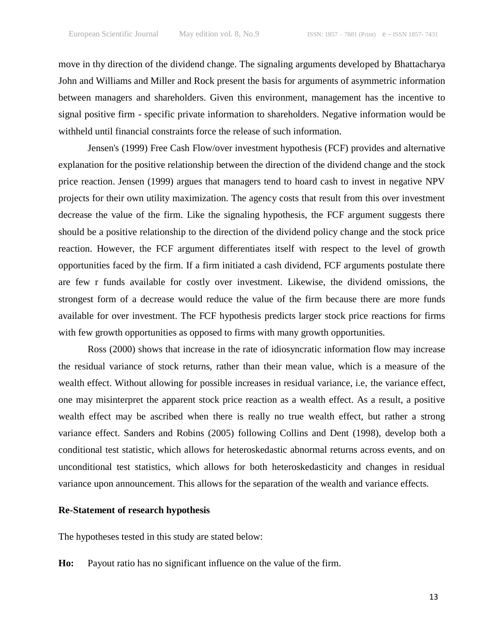move in thy direction of the dividend change. The signaling arguments developed by Bhattacharya John and Williams and Miller and Rock present the basis for arguments of asymmetric information between managers and shareholders. Given this environment, management has the incentive to signal positive firm - specific private information to shareholders. Negative information would be withheld until financial constraints force the release of such information.

Jensen's (1999) Free Cash Flow/over investment hypothesis (FCF) provides and alternative explanation for the positive relationship between the direction of the dividend change and the stock price reaction. Jensen (1999) argues that managers tend to hoard cash to invest in negative NPV projects for their own utility maximization. The agency costs that result from this over investment decrease the value of the firm. Like the signaling hypothesis, the FCF argument suggests there should be a positive relationship to the direction of the dividend policy change and the stock price reaction. However, the FCF argument differentiates itself with respect to the level of growth opportunities faced by the firm. If a firm initiated a cash dividend, FCF arguments postulate there are few r funds available for costly over investment. Likewise, the dividend omissions, the strongest form of a decrease would reduce the value of the firm because there are more funds available for over investment. The FCF hypothesis predicts larger stock price reactions for firms with few growth opportunities as opposed to firms with many growth opportunities.

Ross (2000) shows that increase in the rate of idiosyncratic information flow may increase the residual variance of stock returns, rather than their mean value, which is a measure of the wealth effect. Without allowing for possible increases in residual variance, i.e, the variance effect, one may misinterpret the apparent stock price reaction as a wealth effect. As a result, a positive wealth effect may be ascribed when there is really no true wealth effect, but rather a strong variance effect. Sanders and Robins (2005) following Collins and Dent (1998), develop both a conditional test statistic, which allows for heteroskedastic abnormal returns across events, and on unconditional test statistics, which allows for both heteroskedasticity and changes in residual variance upon announcement. This allows for the separation of the wealth and variance effects.

#### **Re-Statement of research hypothesis**

The hypotheses tested in this study are stated below:

**Ho:** Payout ratio has no significant influence on the value of the firm.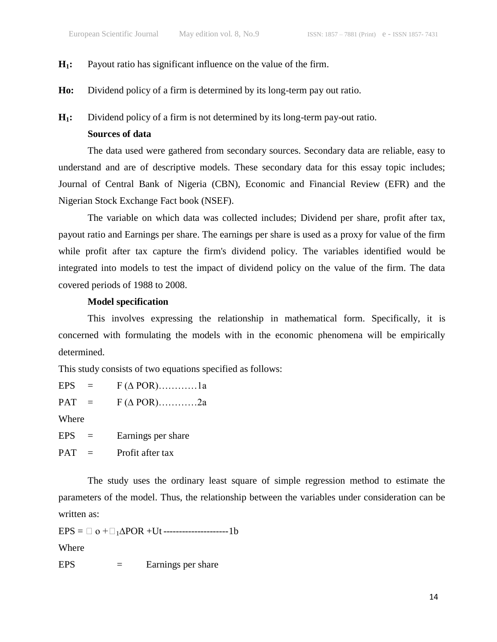# **H1:** Payout ratio has significant influence on the value of the firm.

**Ho:** Dividend policy of a firm is determined by its long-term pay out ratio.

**H1:** Dividend policy of a firm is not determined by its long-term pay-out ratio.

# **Sources of data**

The data used were gathered from secondary sources. Secondary data are reliable, easy to understand and are of descriptive models. These secondary data for this essay topic includes; Journal of Central Bank of Nigeria (CBN), Economic and Financial Review (EFR) and the Nigerian Stock Exchange Fact book (NSEF).

The variable on which data was collected includes; Dividend per share, profit after tax, payout ratio and Earnings per share. The earnings per share is used as a proxy for value of the firm while profit after tax capture the firm's dividend policy. The variables identified would be integrated into models to test the impact of dividend policy on the value of the firm. The data covered periods of 1988 to 2008.

# **Model specification**

This involves expressing the relationship in mathematical form. Specifically, it is concerned with formulating the models with in the economic phenomena will be empirically determined.

This study consists of two equations specified as follows:

EPS =  $F(\triangle POR)$ …………1a  $PAT = F(\triangle POR)$ …………2a Where  $EPS =$  Earnings per share  $PAT =$  Profit after tax

The study uses the ordinary least square of simple regression method to estimate the parameters of the model. Thus, the relationship between the variables under consideration can be written as:

 $EPS = \Box o + \Box_1 \Delta POR + Ut$  -----------------------1b

Where

 $EPS =$  Earnings per share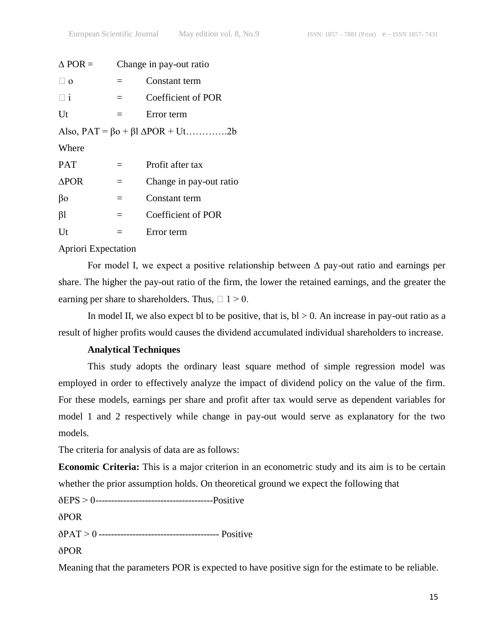| $\triangle$ POR = | Change in pay-out ratio |                         |  |  |
|-------------------|-------------------------|-------------------------|--|--|
| $\Box$ 0          | $=$                     | Constant term           |  |  |
| Πi                | $=$                     | Coefficient of POR      |  |  |
| Ut                | $=$                     | Error term              |  |  |
|                   |                         |                         |  |  |
| Where             |                         |                         |  |  |
| <b>PAT</b>        |                         | Profit after tax        |  |  |
| $\triangle POR$   | $=$                     | Change in pay-out ratio |  |  |
| βo                | $=$                     | Constant term           |  |  |
| βl                | $=$                     | Coefficient of POR      |  |  |
| Ut                | $\equiv$                | Error term              |  |  |
|                   |                         |                         |  |  |

# Apriori Expectation

For model I, we expect a positive relationship between ∆ pay-out ratio and earnings per share. The higher the pay-out ratio of the firm, the lower the retained earnings, and the greater the earning per share to shareholders. Thus,  $\Box$  1 > 0.

In model II, we also expect bl to be positive, that is,  $bl > 0$ . An increase in pay-out ratio as a result of higher profits would causes the dividend accumulated individual shareholders to increase.

# **Analytical Techniques**

This study adopts the ordinary least square method of simple regression model was employed in order to effectively analyze the impact of dividend policy on the value of the firm. For these models, earnings per share and profit after tax would serve as dependent variables for model 1 and 2 respectively while change in pay-out would serve as explanatory for the two models.

The criteria for analysis of data are as follows:

**Economic Criteria:** This is a major criterion in an econometric study and its aim is to be certain whether the prior assumption holds. On theoretical ground we expect the following that

ðEPS > 0--------------------------------------Positive

ðPOR

ðPAT > 0 --------------------------------------- Positive

ðPOR

Meaning that the parameters POR is expected to have positive sign for the estimate to be reliable.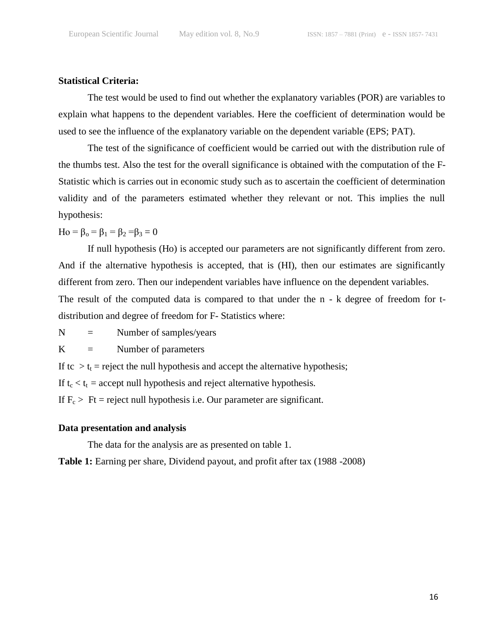# **Statistical Criteria:**

The test would be used to find out whether the explanatory variables (POR) are variables to explain what happens to the dependent variables. Here the coefficient of determination would be used to see the influence of the explanatory variable on the dependent variable (EPS; PAT).

The test of the significance of coefficient would be carried out with the distribution rule of the thumbs test. Also the test for the overall significance is obtained with the computation of the F-Statistic which is carries out in economic study such as to ascertain the coefficient of determination validity and of the parameters estimated whether they relevant or not. This implies the null hypothesis:

Ho =  $\beta_0 = \beta_1 = \beta_2 = \beta_3 = 0$ 

If null hypothesis (Ho) is accepted our parameters are not significantly different from zero. And if the alternative hypothesis is accepted, that is (HI), then our estimates are significantly different from zero. Then our independent variables have influence on the dependent variables. The result of the computed data is compared to that under the n - k degree of freedom for t-

distribution and degree of freedom for F- Statistics where:

 $N =$  Number of samples/years

 $K =$  Number of parameters

If tc  $>t_t$  = reject the null hypothesis and accept the alternative hypothesis;

If  $t_c < t_t$  = accept null hypothesis and reject alternative hypothesis.

If  $F_c$  > Ft = reject null hypothesis i.e. Our parameter are significant.

## **Data presentation and analysis**

The data for the analysis are as presented on table 1.

**Table 1:** Earning per share, Dividend payout, and profit after tax (1988 -2008)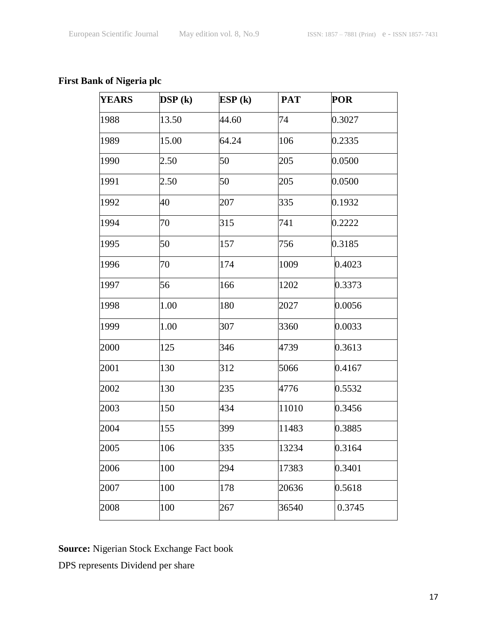# **First Bank of Nigeria plc**

| <b>YEARS</b> | DSP(k) | ESP(k) | <b>PAT</b> | <b>POR</b> |
|--------------|--------|--------|------------|------------|
| 1988         | 13.50  | 44.60  | 74         | 0.3027     |
| 1989         | 15.00  | 64.24  | 106        | 0.2335     |
| 1990         | 2.50   | 50     | 205        | 0.0500     |
| 1991         | 2.50   | 50     | 205        | 0.0500     |
| 1992         | 40     | 207    | 335        | 0.1932     |
| 1994         | 70     | 315    | 741        | 0.2222     |
| 1995         | 50     | 157    | 756        | 0.3185     |
| 1996         | 70     | 174    | 1009       | 0.4023     |
| 1997         | 56     | 166    | 1202       | 0.3373     |
| 1998         | 1.00   | 180    | 2027       | 0.0056     |
| 1999         | 1.00   | 307    | 3360       | 0.0033     |
| 2000         | 125    | 346    | 4739       | 0.3613     |
| 2001         | 130    | 312    | 5066       | 0.4167     |
| 2002         | 130    | 235    | 4776       | 0.5532     |
| 2003         | 150    | 434    | 11010      | 0.3456     |
| 2004         | 155    | 399    | 11483      | 0.3885     |
| 2005         | 106    | 335    | 13234      | 0.3164     |
| 2006         | 100    | 294    | 17383      | 0.3401     |
| 2007         | 100    | 178    | 20636      | 0.5618     |
| 2008         | 100    | 267    | 36540      | 0.3745     |

**Source:** Nigerian Stock Exchange Fact book

DPS represents Dividend per share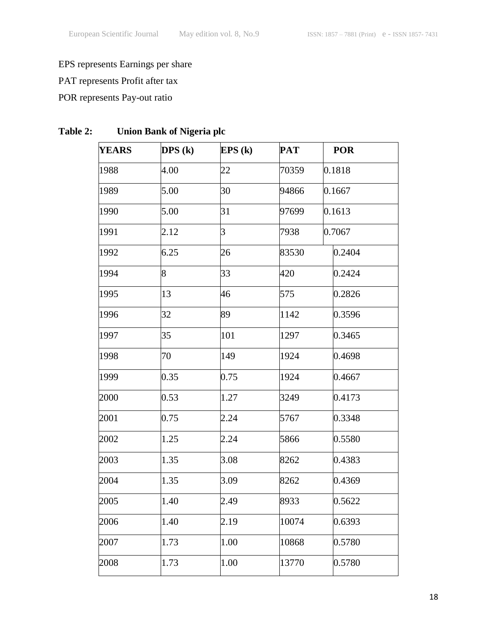# EPS represents Earnings per share

PAT represents Profit after tax

# POR represents Pay-out ratio

| <b>YEARS</b> | $\overline{DPS}$ (k) | EPS(k) | <b>PAT</b> | <b>POR</b> |
|--------------|----------------------|--------|------------|------------|
| 1988         | 4.00                 | 22     | 70359      | 0.1818     |
| 1989         | 5.00                 | 30     | 94866      | 0.1667     |
| 1990         | 5.00                 | 31     | 97699      | 0.1613     |
| 1991         | 2.12                 | 3      | 7938       | 0.7067     |
| 1992         | 6.25                 | 26     | 83530      | 0.2404     |
| 1994         | 8                    | 33     | 420        | 0.2424     |
| 1995         | 13                   | 46     | 575        | 0.2826     |
| 1996         | 32                   | 89     | 1142       | 0.3596     |
| 1997         | 35                   | 101    | 1297       | 0.3465     |
| 1998         | 70                   | 149    | 1924       | 0.4698     |
| 1999         | 0.35                 | 0.75   | 1924       | 0.4667     |
| 2000         | 0.53                 | 1.27   | 3249       | 0.4173     |
| 2001         | 0.75                 | 2.24   | 5767       | 0.3348     |
| 2002         | 1.25                 | 2.24   | 5866       | 0.5580     |
| 2003         | 1.35                 | 3.08   | 8262       | 0.4383     |
| 2004         | 1.35                 | 3.09   | 8262       | 0.4369     |
| 2005         | 1.40                 | 2.49   | 8933       | 0.5622     |
| 2006         | 1.40                 | 2.19   | 10074      | 0.6393     |
| 2007         | 1.73                 | 1.00   | 10868      | 0.5780     |
| 2008         | 1.73                 | 1.00   | 13770      | 0.5780     |

# **Table 2: Union Bank of Nigeria plc**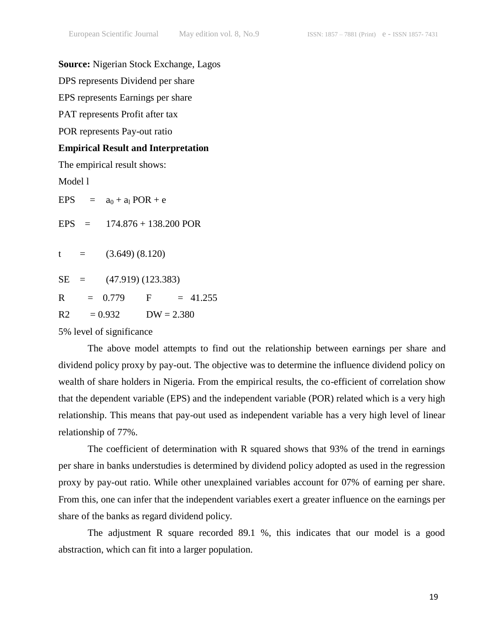## **Source:** Nigerian Stock Exchange, Lagos

DPS represents Dividend per share

EPS represents Earnings per share

PAT represents Profit after tax

POR represents Pay-out ratio

## **Empirical Result and Interpretation**

The empirical result shows:

Model l

EPS =  $a_0 + a_1 POR + e$ EPS  $=$  174.876 + 138.200 POR  $t = (3.649)(8.120)$  $SE = (47.919) (123.383)$  $R = 0.779$  F = 41.255  $R2 = 0.932$   $DW = 2.380$ 

5% level of significance

The above model attempts to find out the relationship between earnings per share and dividend policy proxy by pay-out. The objective was to determine the influence dividend policy on wealth of share holders in Nigeria. From the empirical results, the co-efficient of correlation show that the dependent variable (EPS) and the independent variable (POR) related which is a very high relationship. This means that pay-out used as independent variable has a very high level of linear relationship of 77%.

The coefficient of determination with R squared shows that 93% of the trend in earnings per share in banks understudies is determined by dividend policy adopted as used in the regression proxy by pay-out ratio. While other unexplained variables account for 07% of earning per share. From this, one can infer that the independent variables exert a greater influence on the earnings per share of the banks as regard dividend policy.

The adjustment R square recorded 89.1 %, this indicates that our model is a good abstraction, which can fit into a larger population.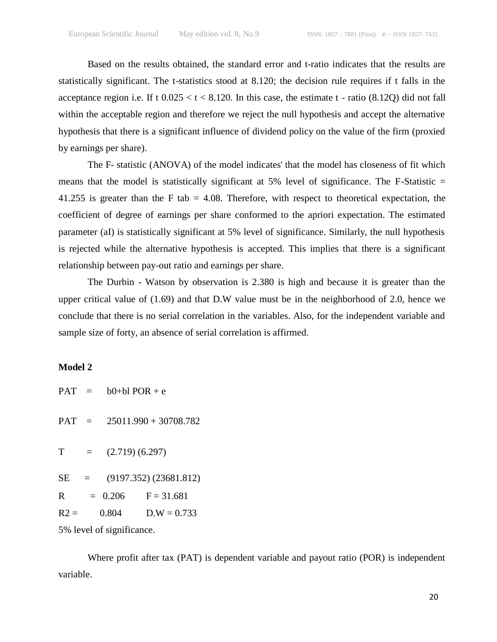Based on the results obtained, the standard error and t-ratio indicates that the results are statistically significant. The t-statistics stood at 8.120; the decision rule requires if t falls in the acceptance region i.e. If t  $0.025 < t < 8.120$ . In this case, the estimate t - ratio (8.12Q) did not fall within the acceptable region and therefore we reject the null hypothesis and accept the alternative hypothesis that there is a significant influence of dividend policy on the value of the firm (proxied by earnings per share).

The F- statistic (ANOVA) of the model indicates' that the model has closeness of fit which means that the model is statistically significant at  $5\%$  level of significance. The F-Statistic  $=$ 41.255 is greater than the F tab  $= 4.08$ . Therefore, with respect to theoretical expectation, the coefficient of degree of earnings per share conformed to the apriori expectation. The estimated parameter (aI) is statistically significant at 5% level of significance. Similarly, the null hypothesis is rejected while the alternative hypothesis is accepted. This implies that there is a significant relationship between pay-out ratio and earnings per share.

The Durbin - Watson by observation is 2.380 is high and because it is greater than the upper critical value of (1.69) and that D.W value must be in the neighborhood of 2.0, hence we conclude that there is no serial correlation in the variables. Also, for the independent variable and sample size of forty, an absence of serial correlation is affirmed.

# **Model 2**

|                             |  | $PAT = b0+b1 POR + e$ |                               |  |
|-----------------------------|--|-----------------------|-------------------------------|--|
|                             |  |                       | $PAT = 25011.990 + 30708.782$ |  |
| T                           |  | $=$ (2.719) (6.297)   |                               |  |
|                             |  |                       | $SE = (9197.352) (23681.812)$ |  |
|                             |  |                       | $R = 0.206$ $F = 31.681$      |  |
| $R2 =$                      |  |                       | $0.804$ D.W = 0.733           |  |
| $50/$ lavel of cianificanos |  |                       |                               |  |

5% level of significance.

Where profit after tax (PAT) is dependent variable and payout ratio (POR) is independent variable.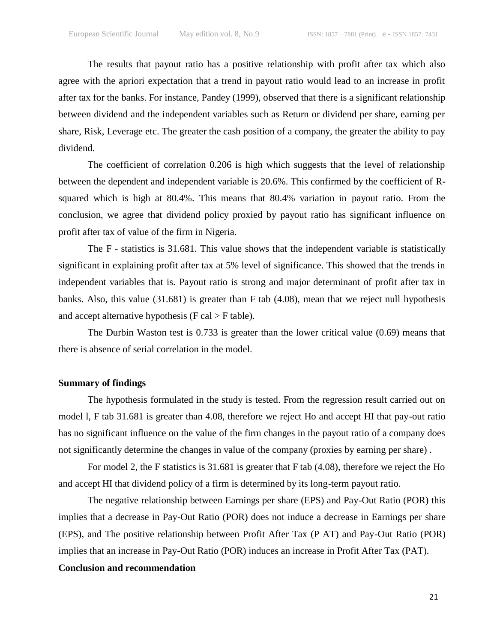The results that payout ratio has a positive relationship with profit after tax which also agree with the apriori expectation that a trend in payout ratio would lead to an increase in profit after tax for the banks. For instance, Pandey (1999), observed that there is a significant relationship between dividend and the independent variables such as Return or dividend per share, earning per share, Risk, Leverage etc. The greater the cash position of a company, the greater the ability to pay dividend.

The coefficient of correlation 0.206 is high which suggests that the level of relationship between the dependent and independent variable is 20.6%. This confirmed by the coefficient of Rsquared which is high at 80.4%. This means that 80.4% variation in payout ratio. From the conclusion, we agree that dividend policy proxied by payout ratio has significant influence on profit after tax of value of the firm in Nigeria.

The F - statistics is 31.681. This value shows that the independent variable is statistically significant in explaining profit after tax at 5% level of significance. This showed that the trends in independent variables that is. Payout ratio is strong and major determinant of profit after tax in banks. Also, this value (31.681) is greater than F tab (4.08), mean that we reject null hypothesis and accept alternative hypothesis ( $F \text{ cal} > F \text{ table}$ ).

The Durbin Waston test is 0.733 is greater than the lower critical value (0.69) means that there is absence of serial correlation in the model.

#### **Summary of findings**

The hypothesis formulated in the study is tested. From the regression result carried out on model l, F tab 31.681 is greater than 4.08, therefore we reject Ho and accept HI that pay-out ratio has no significant influence on the value of the firm changes in the payout ratio of a company does not significantly determine the changes in value of the company (proxies by earning per share) .

For model 2, the F statistics is 31.681 is greater that F tab (4.08), therefore we reject the Ho and accept HI that dividend policy of a firm is determined by its long-term payout ratio.

The negative relationship between Earnings per share (EPS) and Pay-Out Ratio (POR) this implies that a decrease in Pay-Out Ratio (POR) does not induce a decrease in Earnings per share (EPS), and The positive relationship between Profit After Tax (P AT) and Pay-Out Ratio (POR) implies that an increase in Pay-Out Ratio (POR) induces an increase in Profit After Tax (PAT).

## **Conclusion and recommendation**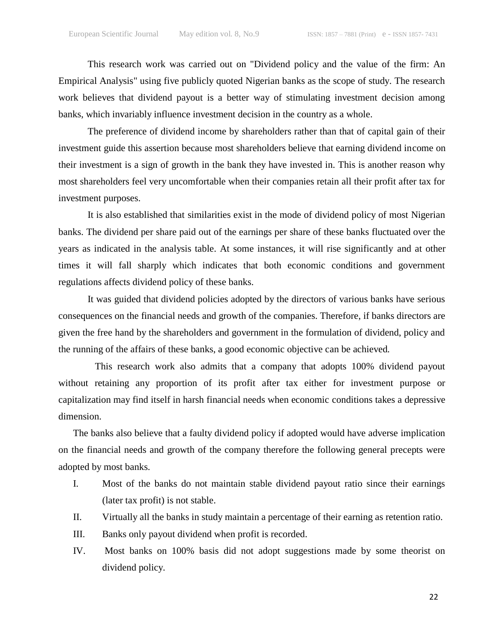This research work was carried out on "Dividend policy and the value of the firm: An Empirical Analysis" using five publicly quoted Nigerian banks as the scope of study. The research work believes that dividend payout is a better way of stimulating investment decision among banks, which invariably influence investment decision in the country as a whole.

The preference of dividend income by shareholders rather than that of capital gain of their investment guide this assertion because most shareholders believe that earning dividend income on their investment is a sign of growth in the bank they have invested in. This is another reason why most shareholders feel very uncomfortable when their companies retain all their profit after tax for investment purposes.

It is also established that similarities exist in the mode of dividend policy of most Nigerian banks. The dividend per share paid out of the earnings per share of these banks fluctuated over the years as indicated in the analysis table. At some instances, it will rise significantly and at other times it will fall sharply which indicates that both economic conditions and government regulations affects dividend policy of these banks.

It was guided that dividend policies adopted by the directors of various banks have serious consequences on the financial needs and growth of the companies. Therefore, if banks directors are given the free hand by the shareholders and government in the formulation of dividend, policy and the running of the affairs of these banks, a good economic objective can be achieved.

This research work also admits that a company that adopts 100% dividend payout without retaining any proportion of its profit after tax either for investment purpose or capitalization may find itself in harsh financial needs when economic conditions takes a depressive dimension.

The banks also believe that a faulty dividend policy if adopted would have adverse implication on the financial needs and growth of the company therefore the following general precepts were adopted by most banks.

- I. Most of the banks do not maintain stable dividend payout ratio since their earnings (later tax profit) is not stable.
- II. Virtually all the banks in study maintain a percentage of their earning as retention ratio.
- III. Banks only payout dividend when profit is recorded.
- IV. Most banks on 100% basis did not adopt suggestions made by some theorist on dividend policy.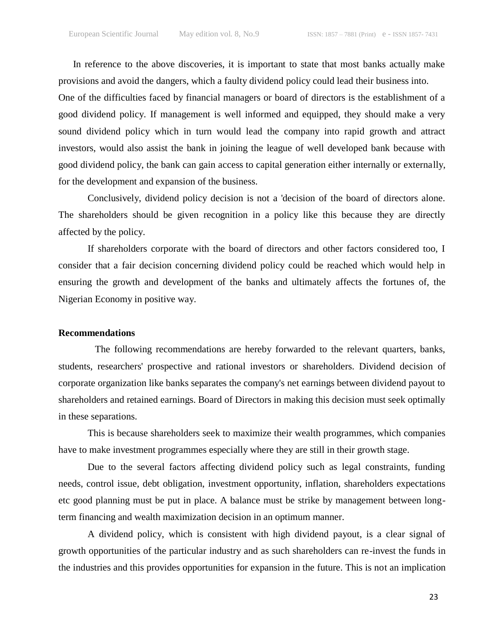In reference to the above discoveries, it is important to state that most banks actually make provisions and avoid the dangers, which a faulty dividend policy could lead their business into. One of the difficulties faced by financial managers or board of directors is the establishment of a good dividend policy. If management is well informed and equipped, they should make a very sound dividend policy which in turn would lead the company into rapid growth and attract investors, would also assist the bank in joining the league of well developed bank because with good dividend policy, the bank can gain access to capital generation either internally or externally, for the development and expansion of the business.

Conclusively, dividend policy decision is not a 'decision of the board of directors alone. The shareholders should be given recognition in a policy like this because they are directly affected by the policy.

If shareholders corporate with the board of directors and other factors considered too, I consider that a fair decision concerning dividend policy could be reached which would help in ensuring the growth and development of the banks and ultimately affects the fortunes of, the Nigerian Economy in positive way.

#### **Recommendations**

The following recommendations are hereby forwarded to the relevant quarters, banks, students, researchers' prospective and rational investors or shareholders. Dividend decision of corporate organization like banks separates the company's net earnings between dividend payout to shareholders and retained earnings. Board of Directors in making this decision must seek optimally in these separations.

This is because shareholders seek to maximize their wealth programmes, which companies have to make investment programmes especially where they are still in their growth stage.

Due to the several factors affecting dividend policy such as legal constraints, funding needs, control issue, debt obligation, investment opportunity, inflation, shareholders expectations etc good planning must be put in place. A balance must be strike by management between longterm financing and wealth maximization decision in an optimum manner.

A dividend policy, which is consistent with high dividend payout, is a clear signal of growth opportunities of the particular industry and as such shareholders can re-invest the funds in the industries and this provides opportunities for expansion in the future. This is not an implication